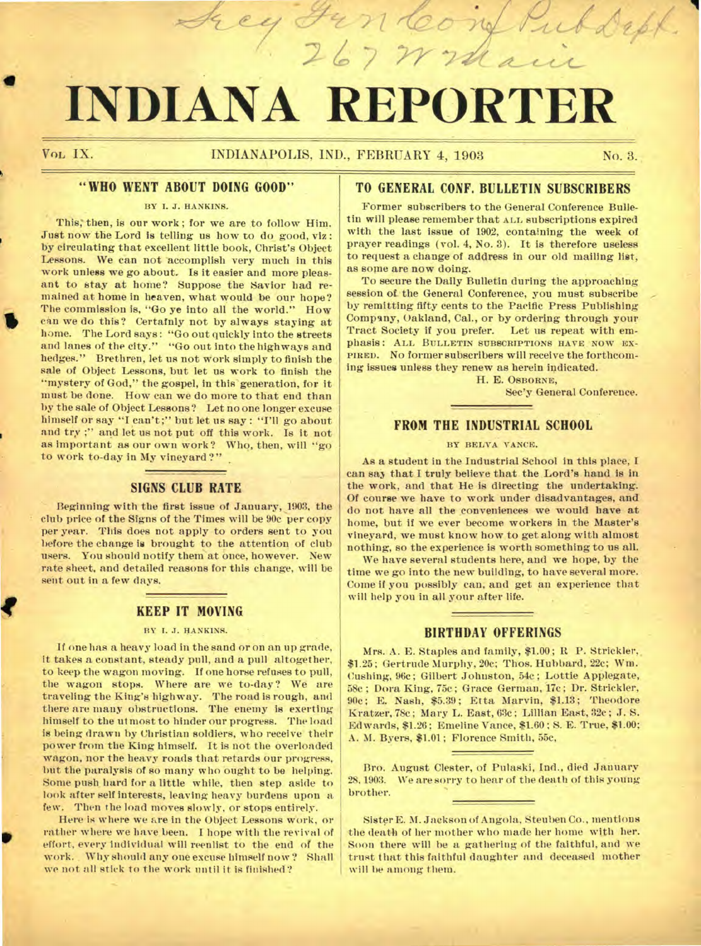# **INDIANA REPORTER**

an Cong

267 Wraaii

**q** 

## **" WHO WENT ABOUT DOING GOOD"**

#### **BY I. J. HANKINS.**

**This; then, is our work; for we are to follow Him. Just now the Lord is telling us how to do good, viz : by circulating that excellent little book, Christ's Object**  Lessons. We can not accomplish very much in this **work unless we go about. Is it easier and more pleasant to stay at home? Suppose the Savior had remained at home in heaven, what would be our hope? The commission is, "Go ye into all the world." How**  can we do this? Certainly not by always staying at **home. The Lord says: "Go out quickly into the streets and lanes of the city." "Go out into the highways and hedges." Brethren, let us not Work simply to finish the sale of Object Lessons, but let us work to finish the "mystery of God," the gospel, in this' generation, for it must be done. How can we do more to that end than by the sale of Object Lessons? Let no one longer excuse himself or say "I can't;" but let us say : "I'll go about and try ;" and let us not put off this work. Is it not as important as our own work? Who, then, will "go to work to-day in My vineyard ?"** 

### **SIGNS CLUB RATE**

**Beginning with the first issue of January, 1903, the club price of the Signs of the Times will be 90c per copy per year. This does not apply to orders sent to you before the change is brought to the attention of club users. You should notify theniat Once, however. New rate sheet, and detailed reasons for this change, will be sent out in a few days.** 

### **KEEP IT MOVING**

#### **BY I. J. HANKINS.**

**If one has a heavy load in the sand or on an up grade, it takes a constant, steady pull, and a pull altogether, to keep the wagon moving. If one horse refuses to pull, the wagon stops. Where are we to-day? We are**  traveling the King's highway. The road is rough, and **there are many obstructions. The enemy is exerting himself to the ut most to hinder our progress. The load is being drawn by Christian soldiers, who receive' their power from the King himself. It is not the overloaded wagon, nor the heavy roads that retards our progress, but the paralysis of so many who ought to be helping. Some push hard for a little while, then step aside to look after self interests, leaving heavy burdens upon a few. Then the load moves slowly, or stops entirely.** 

**Here is where we are in the Object Lessons work, or rather where we have been. I hope with the revival of effort, every individual will reenlist to the end of the work. Why should any one excuse himself now? Shall we not all stick to the work until it is finished?** 

## **TO GENERAL CONF. BULLETIN SUBSCRIBERS**

**Former subscribers to the General Conference Bulletin will please remember that ALL subscriptions expired**  with the last issue of 1902, containing the week of **prayer readings (vol. 4, No. 3). It is therefore useless to request a change of address in our old mailing list, as some are now doing.** 

**To secure the Daily Bulletin during the approaching session of the General Conference, you must subscribe by remitting fifty cents to the Pacific Press Publishing Company, Oakland, Cal., or by ordering through your Tract Society if you prefer. Let us repeat with emphasis: ALL BULLETIN SUBSCRIPTIONS HAVE**. **NOW EX-PIRED. No former subscribers will receive the forthcoming issues unless they renew as herein indicated.** 

**H. E. OSBORNE,** 

**Sec'y General Conference.** 

## **FROM THE INDUSTRIAL SCHOOL**

#### **BY BELVA VANCE.**

**As a student in the Industrial School in this place, I can say that I truly believe that the Lord's hand is in the work, and that He is directing the undertaking. Of course we have to work under disadvantages, and do not have all the conveniences we would have at home, but if we ever become workers in the Master's vineyard, we must know how to get along with almost nothing, so the experience is worth something to us all.** 

**We have several students here, and we hope, by the time we go into the new building, to have several more. Come if you possibly can, and get an experience that will help you in all your after life.** 

### **BIRTHDAY OFFERINGS**

**Mrs. A. E. Staples and family, \$1.00.; R P. Strickler,. \$1.25; Gertrude Murphy, 20c; Thos. Hubbard, 22c; Wm. Cushing, 96c; Gilbert Johnston, 54c; Lottie Applegate, 58c ; Dora King, 75c; Grace German, 17c; Dr. Strickler, 90c; E. Nash, \$5.39; Etta Marvin, \$1.13; Theodore Kratzer, 78c ; Mary L. East, 63c; Lillian East, 32c ; J. S. Edwards, \$1.26; Emeline Vance, \$1.60; S. E. True, \$1.00; A. M. Byers, \$1.01 ; Florence Smith, 55c,** 

**Bro. August Clester, of Pulaski, Ind., died January**  28, 1903. We are sorry to hear of the death of this young **brother.** 

**Sister E. M. Jackson of Angola, Steuben Co., mentions the death of her mother who made her home with her. Soon there will be a gathering of the faithful, and we trust that this faithful daughter and deceased mother will be among them.**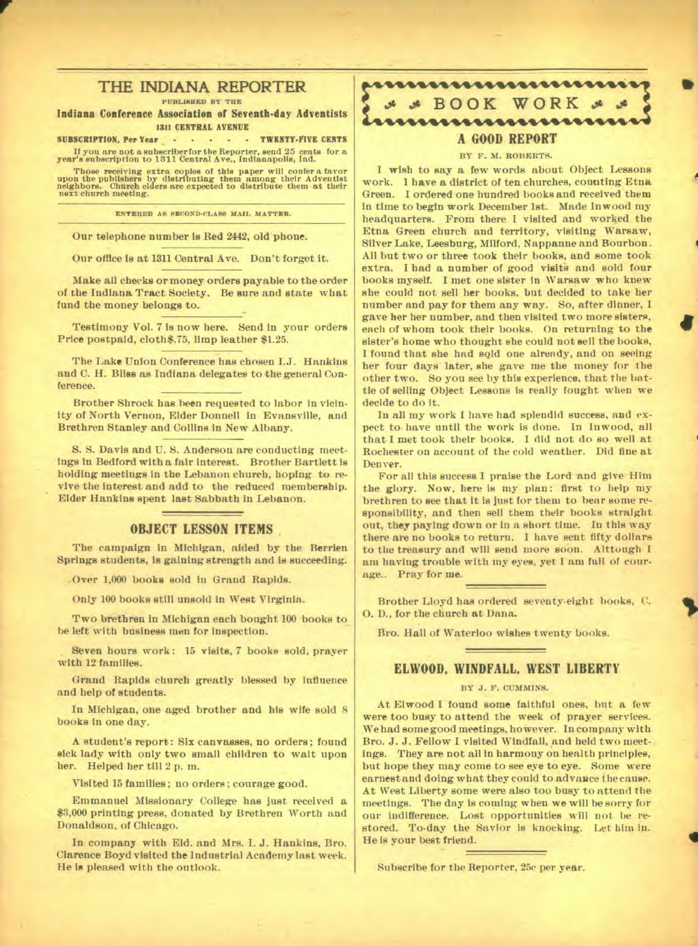## **THE INDIANA REPORTER**

**PUBLISHED BY THE** 

**Indiana Conference Association of Seventh-day Adventists 1311 CENTRAL AVENUE** 

**SUBSCRIPTION, Per Year COMPUTER CONTS** 

**If you are not a subscriber for the Reporter, send 25 cents for a year's subscription to 1311 Central Ave., Indianapolis, Ind.** 

Those receiving extra copies of this paper will confer a favor upon the publishers by distributing them among their Adventist neighbors. Church elders are expected to distribute them at their next church meeting.

**ENTERED AS SECOND-CLASS MAIL MATTES.** 

**Our telephone number is Red 2442, old phone.** 

**Our office is at 1311 Central Ave. Don't forget it.** 

**Make all checks or money orders payable to the order of the Indiana Tract Society. Be sure and state what fund the money belongs to.** 

**Price postpaid, cloth\$.75, limp leather \$1.25.** 

**The Lake Union Conference has chosen I.J. Hankins and C. H. Bliss as Indiana delegates to the general Conference.** 

**Brother Shrock has been requested to labor in vicinity of North Vernon, Elder Donnell in Evansville, and Brethren Stanley and Collins in New Albany.** 

**S. S. Davis and U. S. Anderson are conducting meetings in Bedford with a fair interest. Brother Bartlett is holding meetings in the Lebanon church, hoping to revive the interest and add to the reduced membership. Elder Hankins spent last Sabbath iu Lebanon.** 

## **OBJECT LESSON ITEMS .**

**The campaign in Michigan, aided by the Berrien Springs students, is gaining strength and is succeeding.** 

**Over 1,000 books sold in Grand Rapids.** 

**Only 100 books still unsold in West Virginia.** 

**Two brethren in Michigan each bought 100 books to be left with business men for inspection.** 

Seven hours work: 15 visits, 7 books sold, prayer **with 12 families.** 

**Grand Rapids church greatly blessed by influence and help of students.** 

**In Michigan, one aged brother and his wife sold 8 books in one day.** 

**A student's report: Six canvasses, no orders; found sick lady with only two small children to wait upon her. Helped her till 2 p. m.** 

**Visited 15 families; no orders; courage good.** 

**Emmanuel Missionary College has just received a \$3,000 printing press, donated by Brethren Worth and Donaldson, of Chicago.** 

In company with Eld. and Mrs. I. J. Hankins, Bro. **Clarence Boyd visited the Industrial Academy last week. He is pleased with the outlook.** 

## ,,,,,,,,,,,,,,,,,,,,,,,,, **Ot BOOK WORK og .pg ivviwwwsikv•imim A GOOD REPORT BY** *F.* **M. ROBERTS.**

**I wish to say a few words about Object Lessons work. 1 have a district of ten churches, counting Etna Green. I ordered one hundred books and received them in time to begin work December 1st. Made Inwood my headquarters. From there I visited and worked the Etna Green church and territory, visiting Warsaw, Silver Lake, Leesburg, Milford, Nappanne and Bourbon. All but two or three took their books, and some took extra. I had a number of good visits and sold four books myself. I met one sister in Warsaw who knew she could not sell her books, but decided to take her number and pay for them any way. So, after dinner, I gave her her number, and then visited two more sisters, each of whom took their books. On returning to the sister's home who thought she could not sell the books, I found that she had sold one already, and on seeing her four days later, she gave me the money for the other two. So you see by this experience, that the battle of selling Object Lessons is really fought when we decide to do it.**  Testimony Vol. 7 is now here. Send in your orders and state what the mumber and pay for them any way. So, after dinner, I save her humber and pay for them any way. So, after dinner, I save here humber and pay for them any

> **In all my work I have had splendid success, and expect to have until the work is done. In Inwood, all that I met took their books. I did not do so well at Rochester on account of the cold weather. Did fine at Denver.**

**4** 

**For all this success I praise the Lord and give Him the glory. Now, here is my plan: first to help my brethren to see that it is just for them to bear some responsibility, and then sell them their books straight out, they paying down or in a short time. In this way there are no books to return. I have sent fifty dollars to the treasury and will send more soon. Alttough I am having trouble with my eyes, yet I am full of courage.. Pray for me.** 

**Brother Lloyd has ordered seventy-eight hooks, C. 0. D., for the church at Dana.** 

**Bro. Hall of Waterloo wishes twenty books.** 

## **ELWOOD, WINDFALL, WEST LIBERTY**

#### **BY J. F. CUMMINS.**

**At Elwood I found some faithful ones, but a few were too busy to attend the week of prayer services. We had some good meetings, however. In company with Bro. J. J. Fellow I visited Windfall, and held two meetings. They are not all in harmony on health principles, but hope they may come to see eye to eye. Some were earnest and doing what they could to advance the cause. At West Liberty some were also too busy to attend the meetings. The day is coming when we will be sorry for our indifference. Lost opportunities will not be restored. To-day the Savior is knocking. Let him in. He is your best friend.** 

**Subscribe for the Reporter, 25e per year.**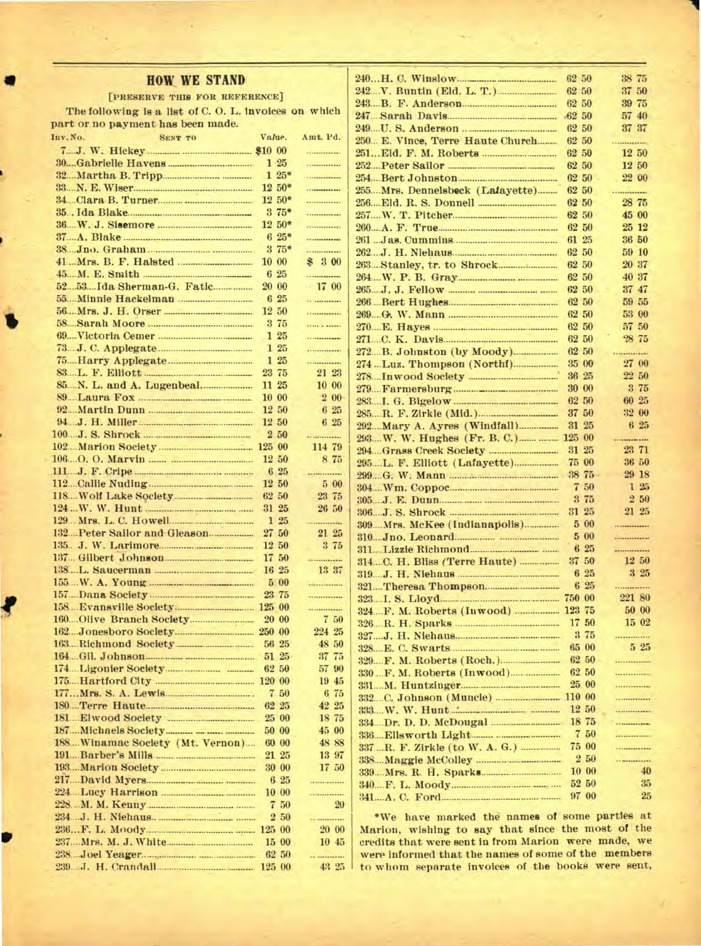## **HOW WE STAND**

[PRESERVE THIS FOR REFERENCE]

The following is a list of C.O.L. invoices on which part or no payment has been made.

| Inv. No. | <b>SENT TO</b>                  | Value. |              | Amt. Pd. |
|----------|---------------------------------|--------|--------------|----------|
|          |                                 |        |              | .        |
|          |                                 |        | $1\,25$      | .        |
|          |                                 |        | $125*$       | .        |
|          |                                 |        | $12 \, 50^*$ | .        |
|          |                                 |        | $12,50*$     | .        |
|          |                                 |        | $375*$       | .        |
|          |                                 |        | $12.50*$     |          |
|          |                                 |        | $625*$       |          |
|          | 38 Jno. Graham                  |        | $3.75*$      | .        |
|          |                                 |        | 10 00        | \$ 3 00  |
|          |                                 |        | 6 25         |          |
|          |                                 |        | $20\ \ 00$   | 1700     |
|          |                                 |        | 6 25         |          |
|          |                                 |        | 12 50        | .        |
|          |                                 |        | 3 75         | .        |
|          |                                 |        | 1 25         |          |
|          |                                 |        | 125          | .        |
|          |                                 |        | 125          |          |
|          |                                 |        | 23 75        | 21 23    |
|          |                                 |        | 11 25        | 10 00    |
|          |                                 |        | 10 00        | $2\,00$  |
|          |                                 |        | 12 50        | 6 25     |
|          |                                 |        | 12 50        | 6 25     |
|          |                                 |        | 2 50         | .        |
|          |                                 | 125 00 |              | 114 79   |
|          |                                 |        | $12\ \ 50$   | 8 75     |
|          |                                 |        | 6 25         | .        |
|          |                                 |        | 12 50        | 500      |
|          |                                 |        | 62 50        | 23 75    |
|          |                                 |        | 31 25        | 26 50    |
|          |                                 |        | 125          |          |
|          | 132 Peter Sailor and Gleason    |        | 27 50        | 21 25    |
|          |                                 |        | 12 50        | 3 75     |
|          | 137. Gilbert Johnson            |        | 17 50        | .        |
|          |                                 |        | I6 25        | 13 37    |
|          |                                 |        | 500          |          |
|          |                                 |        | 23 75        | .        |
|          |                                 |        |              | .        |
|          |                                 |        | 20 00        | 7 50     |
|          |                                 |        |              | 224 25   |
|          |                                 |        | 56 25        | 48 50    |
|          |                                 |        | 51 25        | 37 75    |
|          |                                 |        | 62 50        | 57 90    |
|          |                                 |        |              | 19 45    |
|          |                                 |        | 7 50         | 675      |
|          |                                 |        | 62 25        | 42 25    |
|          |                                 |        | 25 00        | 18 75    |
|          |                                 |        | 50 00        | 45 00    |
|          | 188Winamac Society (Mt. Vernon) |        | 60 00        | 48 88    |
|          |                                 |        | 21 25        | 13 97    |
|          |                                 |        | 30 00        | $17-50$  |
|          |                                 |        | $6\,25$      | .        |
|          |                                 |        | 10 00        | .        |
|          |                                 |        | 7 50         | 20       |
|          |                                 |        | $2\,50$      | .        |
|          |                                 |        | 125 00       | 20 00    |
|          |                                 |        | 15 00        | 10,45    |
|          |                                 |        | 62 50        | .        |
|          |                                 |        | 125 00       | 43 25    |

|                                    | 62 50  |                | 38 75       |
|------------------------------------|--------|----------------|-------------|
|                                    | 62 50  |                | 37 50       |
|                                    | 62 50  |                | 39 75       |
| 247 Sarah Davis                    | 62 50  |                | 57 40       |
|                                    | 62 50  |                | 37 37       |
| 250 E. Vince, Terre Haute Church   | 62 50  |                | .           |
|                                    | 62 50  |                | 12 50       |
|                                    | 62 50  |                | 12 50       |
|                                    | 62 50  |                | 22 00       |
| 255Mrs. Dennelsbeck (Lafayette)    |        | 62 50<br>62 50 | .<br>28 75  |
|                                    |        | 62 50          | 45 00       |
|                                    |        | 62 50          | 25 12       |
|                                    |        | 61 25          | 36 50       |
|                                    |        | 62 50          | 59 10       |
|                                    | 62 50  |                | 20 37       |
|                                    |        | 62 50          | 40 37       |
|                                    |        | 62 50          | 37 47       |
|                                    |        | 62 50          | 59 55       |
|                                    |        | 62 50          | 53 00       |
|                                    |        | 62 50          | 57 50       |
|                                    |        | 62 50          | 28 75       |
|                                    |        | 62 50          |             |
|                                    |        | 35 00          | 27 00       |
|                                    |        | 36 25          | 22 50       |
|                                    |        | 30 00          | 3 75        |
|                                    |        | 62 50          | 60 25       |
|                                    |        | 37 50          | 32 00       |
| 292  Mary A. Ayres (Windfall)      | 31     | 25             | 6 25        |
|                                    | 125 00 |                |             |
|                                    |        | 31 25          | 23 71       |
|                                    |        | 75 00          | 36 50       |
|                                    |        | 38 75          | 29 18       |
|                                    |        | 7 50           | 125         |
|                                    |        | 3 75           | 2 50        |
|                                    |        | 31 25          | 21 25       |
| 309 Mrs. McKee (Indianapolis)      |        | 500            | .           |
|                                    |        | 5 00           | .           |
|                                    |        | 6 25           |             |
| 314C. H. Bliss (Terre Haute)       |        | 37 50          | 12 50       |
|                                    |        | 6 25           | 3'25        |
|                                    |        | 6 25           | .<br>221 80 |
|                                    |        |                | 50 00       |
| 324.F. M. Roberts (Inwood)  123 75 |        |                | $15\,02$    |
|                                    |        | 17 50<br>3 75  |             |
|                                    |        | 65 00          | <br>525     |
|                                    |        | 62 50          |             |
|                                    |        | 62 50          |             |
|                                    |        | 25 00          | .           |
|                                    | 110 00 |                | .           |
|                                    |        | 12 50          | .           |
|                                    |        | 18 75          |             |
|                                    |        | 7 50           |             |
| 337R. F. Zirkle (to W. A. G.)      |        | 75 00          | .           |
|                                    |        | 250            | .           |
|                                    |        | $10\text{ }00$ | 40          |
|                                    |        | 52 50          | 35          |
|                                    |        | 97 00          | 25          |
|                                    |        |                |             |

\*We have marked the names of some parties at Marion, wishing to say that since the most of the credits that were sent in from Marion were made, we were informed that the names of some of the members to whom separate invoices of the books were sent,